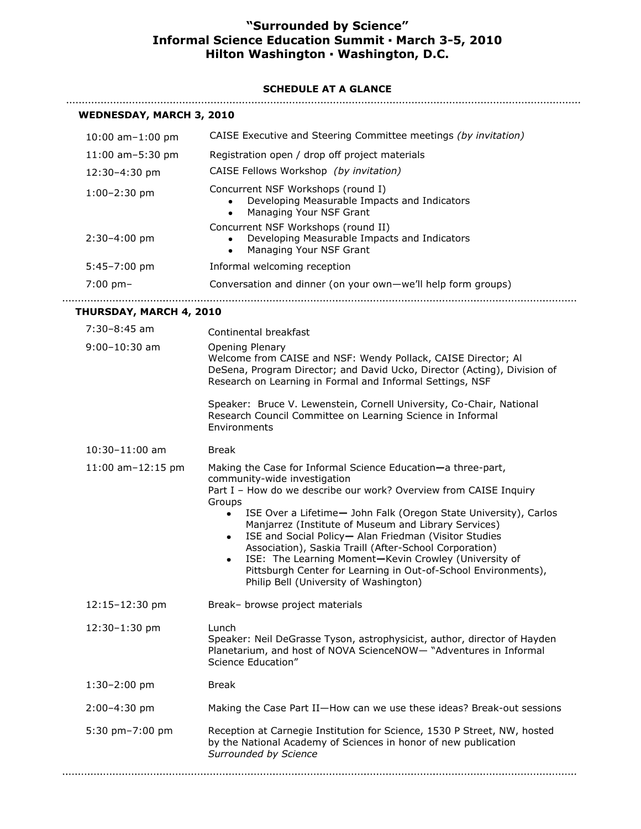## **"Surrounded by Science" Informal Science Education Summit ▪ March 3-5, 2010 Hilton Washington ▪ Washington, D.C.**

## **SCHEDULE AT A GLANCE**

|  | <b>WEDNESDAY, MARCH 3, 2010</b> |
|--|---------------------------------|
|--|---------------------------------|

| LDNLJDA I, MARCH J, 2010 |                                                                                                                                                                                                                                                                                                                                                                                                                                                                                                                                                                                                                                |
|--------------------------|--------------------------------------------------------------------------------------------------------------------------------------------------------------------------------------------------------------------------------------------------------------------------------------------------------------------------------------------------------------------------------------------------------------------------------------------------------------------------------------------------------------------------------------------------------------------------------------------------------------------------------|
| 10:00 am-1:00 pm         | CAISE Executive and Steering Committee meetings (by invitation)                                                                                                                                                                                                                                                                                                                                                                                                                                                                                                                                                                |
| 11:00 am-5:30 pm         | Registration open / drop off project materials                                                                                                                                                                                                                                                                                                                                                                                                                                                                                                                                                                                 |
| 12:30-4:30 pm            | CAISE Fellows Workshop (by invitation)                                                                                                                                                                                                                                                                                                                                                                                                                                                                                                                                                                                         |
| $1:00-2:30$ pm           | Concurrent NSF Workshops (round I)<br>Developing Measurable Impacts and Indicators<br>Managing Your NSF Grant<br>$\bullet$                                                                                                                                                                                                                                                                                                                                                                                                                                                                                                     |
| $2:30-4:00$ pm           | Concurrent NSF Workshops (round II)<br>Developing Measurable Impacts and Indicators<br>Managing Your NSF Grant<br>$\bullet$                                                                                                                                                                                                                                                                                                                                                                                                                                                                                                    |
| $5:45 - 7:00$ pm         | Informal welcoming reception                                                                                                                                                                                                                                                                                                                                                                                                                                                                                                                                                                                                   |
| $7:00$ pm-               | Conversation and dinner (on your own-we'll help form groups)                                                                                                                                                                                                                                                                                                                                                                                                                                                                                                                                                                   |
| THURSDAY, MARCH 4, 2010  |                                                                                                                                                                                                                                                                                                                                                                                                                                                                                                                                                                                                                                |
| 7:30-8:45 am             | Continental breakfast                                                                                                                                                                                                                                                                                                                                                                                                                                                                                                                                                                                                          |
| $9:00 - 10:30$ am        | Opening Plenary<br>Welcome from CAISE and NSF: Wendy Pollack, CAISE Director; Al<br>DeSena, Program Director; and David Ucko, Director (Acting), Division of<br>Research on Learning in Formal and Informal Settings, NSF                                                                                                                                                                                                                                                                                                                                                                                                      |
|                          | Speaker: Bruce V. Lewenstein, Cornell University, Co-Chair, National<br>Research Council Committee on Learning Science in Informal<br>Environments                                                                                                                                                                                                                                                                                                                                                                                                                                                                             |
| $10:30 - 11:00$ am       | <b>Break</b>                                                                                                                                                                                                                                                                                                                                                                                                                                                                                                                                                                                                                   |
| 11:00 am-12:15 pm        | Making the Case for Informal Science Education-a three-part,<br>community-wide investigation<br>Part I - How do we describe our work? Overview from CAISE Inquiry<br>Groups<br>ISE Over a Lifetime- John Falk (Oregon State University), Carlos<br>$\bullet$<br>Manjarrez (Institute of Museum and Library Services)<br>ISE and Social Policy- Alan Friedman (Visitor Studies<br>$\bullet$<br>Association), Saskia Traill (After-School Corporation)<br>ISE: The Learning Moment-Kevin Crowley (University of<br>٠<br>Pittsburgh Center for Learning in Out-of-School Environments),<br>Philip Bell (University of Washington) |
| 12:15-12:30 pm           | Break- browse project materials                                                                                                                                                                                                                                                                                                                                                                                                                                                                                                                                                                                                |
| 12:30-1:30 pm            | Lunch<br>Speaker: Neil DeGrasse Tyson, astrophysicist, author, director of Hayden<br>Planetarium, and host of NOVA ScienceNOW- "Adventures in Informal<br>Science Education"                                                                                                                                                                                                                                                                                                                                                                                                                                                   |
| $1:30-2:00$ pm           | <b>Break</b>                                                                                                                                                                                                                                                                                                                                                                                                                                                                                                                                                                                                                   |
| 2:00-4:30 pm             | Making the Case Part II-How can we use these ideas? Break-out sessions                                                                                                                                                                                                                                                                                                                                                                                                                                                                                                                                                         |
| 5:30 pm-7:00 pm          | Reception at Carnegie Institution for Science, 1530 P Street, NW, hosted<br>by the National Academy of Sciences in honor of new publication<br>Surrounded by Science                                                                                                                                                                                                                                                                                                                                                                                                                                                           |
|                          |                                                                                                                                                                                                                                                                                                                                                                                                                                                                                                                                                                                                                                |